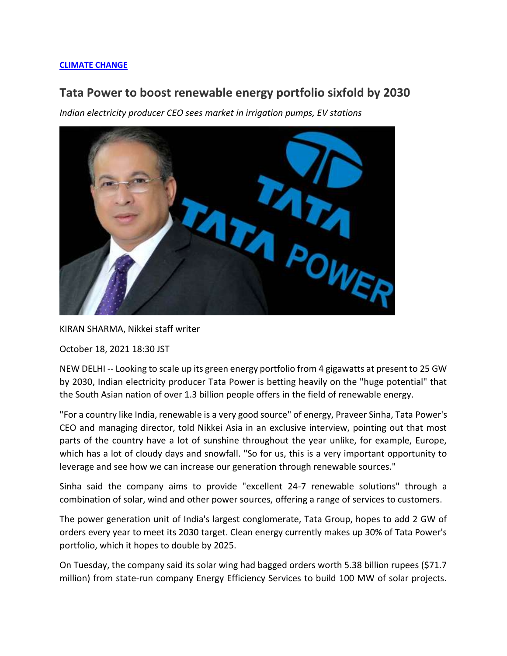## **[CLIMATE CHANGE](https://asia.nikkei.com/Spotlight/Environment/Climate-Change)**

## **Tata Power to boost renewable energy portfolio sixfold by 2030**

*Indian electricity producer CEO sees market in irrigation pumps, EV stations*



KIRAN SHARMA, Nikkei staff writer

October 18, 2021 18:30 JST

NEW DELHI -- Looking to scale up its green energy portfolio from 4 gigawatts at present to 25 GW by 2030, Indian electricity producer Tata Power is betting heavily on the "huge potential" that the South Asian nation of over 1.3 billion people offers in the field of renewable energy.

"For a country like India, renewable is a very good source" of energy, Praveer Sinha, Tata Power's CEO and managing director, told Nikkei Asia in an exclusive interview, pointing out that most parts of the country have a lot of sunshine throughout the year unlike, for example, Europe, which has a lot of cloudy days and snowfall. "So for us, this is a very important opportunity to leverage and see how we can increase our generation through renewable sources."

Sinha said the company aims to provide "excellent 24-7 renewable solutions" through a combination of solar, wind and other power sources, offering a range of services to customers.

The power generation unit of India's largest conglomerate, Tata Group, hopes to add 2 GW of orders every year to meet its 2030 target. Clean energy currently makes up 30% of Tata Power's portfolio, which it hopes to double by 2025.

On Tuesday, the company said its solar wing had bagged orders worth 5.38 billion rupees (\$71.7 million) from state-run company Energy Efficiency Services to build 100 MW of solar projects.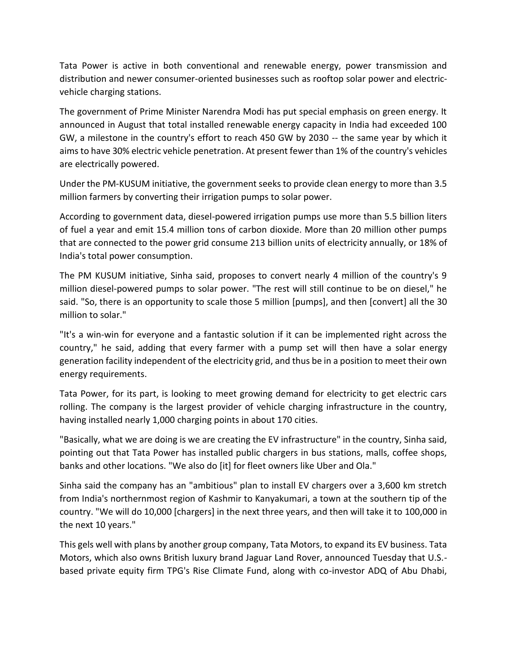Tata Power is active in both conventional and renewable energy, power transmission and distribution and newer consumer-oriented businesses such as rooftop solar power and electricvehicle charging stations.

The government of Prime Minister Narendra Modi has put special emphasis on green energy. It announced in August that total installed renewable energy capacity in India had exceeded 100 GW, a milestone in the country's effort to reach 450 GW by 2030 -- the same year by which it aims to have 30% electric vehicle penetration. At present fewer than 1% of the country's vehicles are electrically powered.

Under the PM-KUSUM initiative, the government seeks to provide clean energy to more than 3.5 million farmers by converting their irrigation pumps to solar power.

According to government data, diesel-powered irrigation pumps use more than 5.5 billion liters of fuel a year and emit 15.4 million tons of carbon dioxide. More than 20 million other pumps that are connected to the power grid consume 213 billion units of electricity annually, or 18% of India's total power consumption.

The PM KUSUM initiative, Sinha said, proposes to convert nearly 4 million of the country's 9 million diesel-powered pumps to solar power. "The rest will still continue to be on diesel," he said. "So, there is an opportunity to scale those 5 million [pumps], and then [convert] all the 30 million to solar."

"It's a win-win for everyone and a fantastic solution if it can be implemented right across the country," he said, adding that every farmer with a pump set will then have a solar energy generation facility independent of the electricity grid, and thus be in a position to meet their own energy requirements.

Tata Power, for its part, is looking to meet growing demand for electricity to get electric cars rolling. The company is the largest provider of vehicle charging infrastructure in the country, having installed nearly 1,000 charging points in about 170 cities.

"Basically, what we are doing is we are creating the EV infrastructure" in the country, Sinha said, pointing out that Tata Power has installed public chargers in bus stations, malls, coffee shops, banks and other locations. "We also do [it] for fleet owners like Uber and Ola."

Sinha said the company has an "ambitious" plan to install EV chargers over a 3,600 km stretch from India's northernmost region of Kashmir to Kanyakumari, a town at the southern tip of the country. "We will do 10,000 [chargers] in the next three years, and then will take it to 100,000 in the next 10 years."

This gels well with plans by another group company, Tata Motors, to expand its EV business. Tata Motors, which also owns British luxury brand Jaguar Land Rover, announced Tuesday that U.S. based private equity firm TPG's Rise Climate Fund, along with co-investor ADQ of Abu Dhabi,